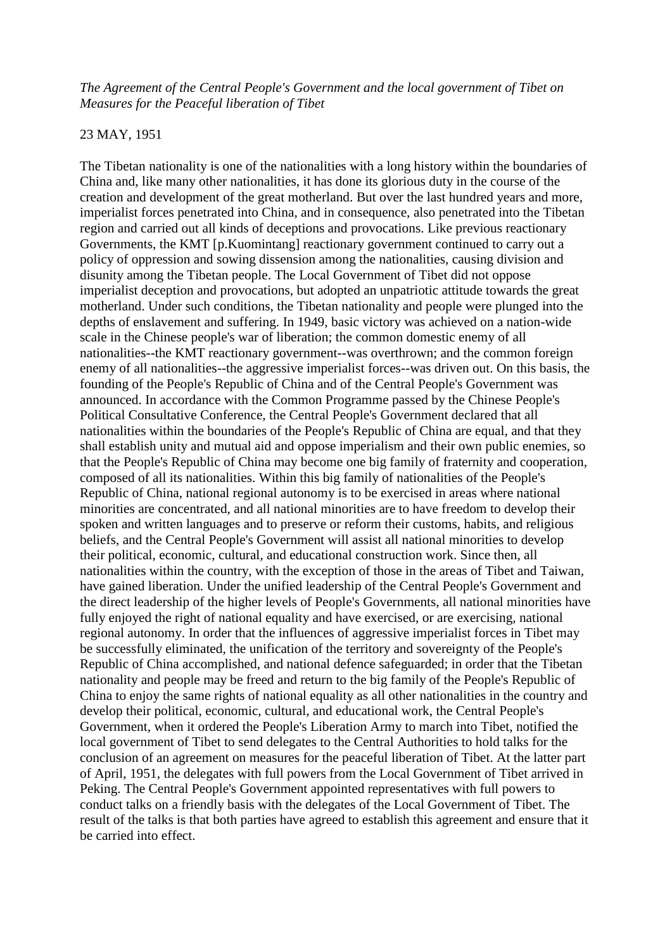## *The Agreement of the Central People's Government and the local government of Tibet on Measures for the Peaceful liberation of Tibet*

## 23 MAY, 1951

The Tibetan nationality is one of the nationalities with a long history within the boundaries of China and, like many other nationalities, it has done its glorious duty in the course of the creation and development of the great motherland. But over the last hundred years and more, imperialist forces penetrated into China, and in consequence, also penetrated into the Tibetan region and carried out all kinds of deceptions and provocations. Like previous reactionary Governments, the KMT [p.Kuomintang] reactionary government continued to carry out a policy of oppression and sowing dissension among the nationalities, causing division and disunity among the Tibetan people. The Local Government of Tibet did not oppose imperialist deception and provocations, but adopted an unpatriotic attitude towards the great motherland. Under such conditions, the Tibetan nationality and people were plunged into the depths of enslavement and suffering. In 1949, basic victory was achieved on a nation-wide scale in the Chinese people's war of liberation; the common domestic enemy of all nationalities--the KMT reactionary government--was overthrown; and the common foreign enemy of all nationalities--the aggressive imperialist forces--was driven out. On this basis, the founding of the People's Republic of China and of the Central People's Government was announced. In accordance with the Common Programme passed by the Chinese People's Political Consultative Conference, the Central People's Government declared that all nationalities within the boundaries of the People's Republic of China are equal, and that they shall establish unity and mutual aid and oppose imperialism and their own public enemies, so that the People's Republic of China may become one big family of fraternity and cooperation, composed of all its nationalities. Within this big family of nationalities of the People's Republic of China, national regional autonomy is to be exercised in areas where national minorities are concentrated, and all national minorities are to have freedom to develop their spoken and written languages and to preserve or reform their customs, habits, and religious beliefs, and the Central People's Government will assist all national minorities to develop their political, economic, cultural, and educational construction work. Since then, all nationalities within the country, with the exception of those in the areas of Tibet and Taiwan, have gained liberation. Under the unified leadership of the Central People's Government and the direct leadership of the higher levels of People's Governments, all national minorities have fully enjoyed the right of national equality and have exercised, or are exercising, national regional autonomy. In order that the influences of aggressive imperialist forces in Tibet may be successfully eliminated, the unification of the territory and sovereignty of the People's Republic of China accomplished, and national defence safeguarded; in order that the Tibetan nationality and people may be freed and return to the big family of the People's Republic of China to enjoy the same rights of national equality as all other nationalities in the country and develop their political, economic, cultural, and educational work, the Central People's Government, when it ordered the People's Liberation Army to march into Tibet, notified the local government of Tibet to send delegates to the Central Authorities to hold talks for the conclusion of an agreement on measures for the peaceful liberation of Tibet. At the latter part of April, 1951, the delegates with full powers from the Local Government of Tibet arrived in Peking. The Central People's Government appointed representatives with full powers to conduct talks on a friendly basis with the delegates of the Local Government of Tibet. The result of the talks is that both parties have agreed to establish this agreement and ensure that it be carried into effect.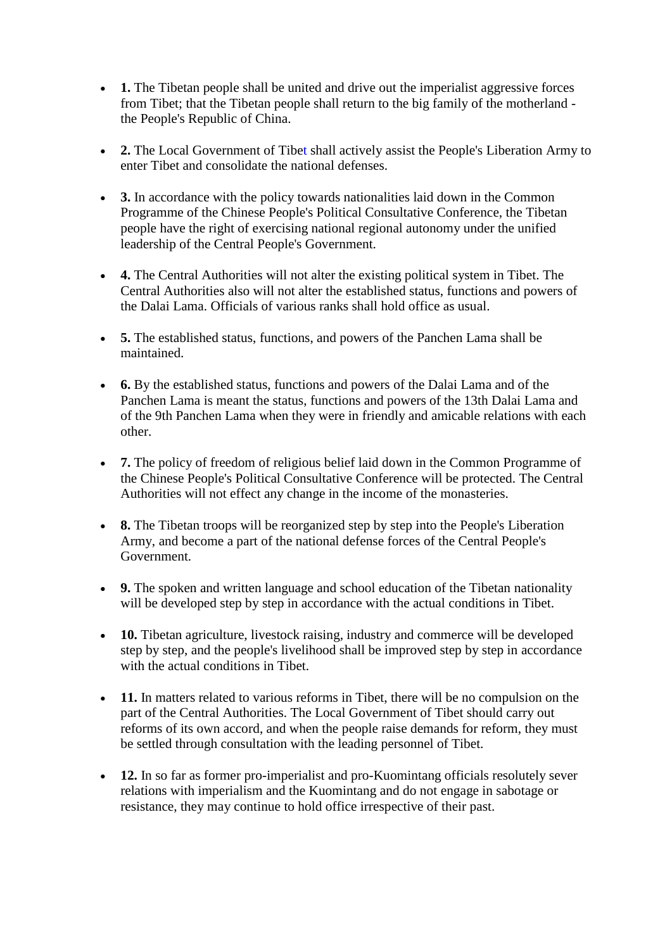- **1.** The Tibetan people shall be united and drive out the imperialist aggressive forces from Tibet; that the Tibetan people shall return to the big family of the motherland the People's Republic of China.
- **2.** The Local Government of Tibet shall actively assist the People's Liberation Army to enter Tibet and consolidate the national defenses.
- **3.** In accordance with the policy towards nationalities laid down in the Common Programme of the Chinese People's Political Consultative Conference, the Tibetan people have the right of exercising national regional autonomy under the unified leadership of the Central People's Government.
- **4.** The Central Authorities will not alter the existing political system in Tibet. The Central Authorities also will not alter the established status, functions and powers of the Dalai Lama. Officials of various ranks shall hold office as usual.
- **5.** The established status, functions, and powers of the Panchen Lama shall be maintained.
- **6.** By the established status, functions and powers of the Dalai Lama and of the [Panchen Lama](http://en.wikipedia.org/wiki/Panchen_Lama) is meant the status, functions and powers of the 13th Dalai Lama and of the 9th Panchen Lama when they were in friendly and amicable relations with each other.
- **7.** The policy of freedom of religious belief laid down in the Common Programme of the Chinese People's Political Consultative Conference will be protected. The Central Authorities will not effect any change in the income of the monasteries.
- **8.** The Tibetan troops will be reorganized step by step into the People's Liberation Army, and become a part of the national defense forces of the Central People's Government.
- **9.** The spoken and written language and school education of the Tibetan nationality will be developed step by step in accordance with the actual conditions in Tibet.
- **10.** Tibetan agriculture, livestock raising, industry and commerce will be developed step by step, and the people's livelihood shall be improved step by step in accordance with the actual conditions in Tibet.
- **11.** In matters related to various reforms in Tibet, there will be no compulsion on the part of the Central Authorities. The Local Government of Tibet should carry out reforms of its own accord, and when the people raise demands for reform, they must be settled through consultation with the leading personnel of Tibet.
- **12.** In so far as former pro-imperialist and pro-Kuomintang officials resolutely sever relations with imperialism and the Kuomintang and do not engage in sabotage or resistance, they may continue to hold office irrespective of their past.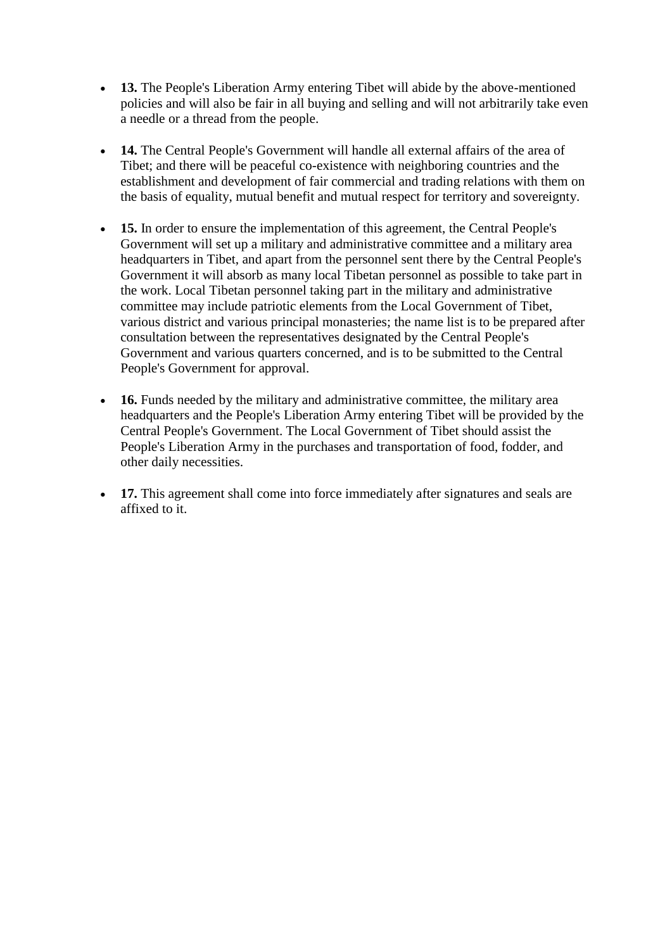- **13.** The People's Liberation Army entering Tibet will abide by the above-mentioned policies and will also be fair in all buying and selling and will not arbitrarily take even a needle or a thread from the people.
- **14.** The Central People's Government will handle all external affairs of the area of Tibet; and there will be peaceful co-existence with neighboring countries and the establishment and development of fair commercial and trading relations with them on the basis of equality, mutual benefit and mutual respect for territory and sovereignty.
- 15. In order to ensure the implementation of this agreement, the Central People's Government will set up a military and administrative committee and a military area headquarters in Tibet, and apart from the personnel sent there by the Central People's Government it will absorb as many local Tibetan personnel as possible to take part in the work. Local Tibetan personnel taking part in the military and administrative committee may include patriotic elements from the Local Government of Tibet, various district and various principal monasteries; the name list is to be prepared after consultation between the representatives designated by the Central People's Government and various quarters concerned, and is to be submitted to the Central People's Government for approval.
- **16.** Funds needed by the military and administrative committee, the military area headquarters and the People's Liberation Army entering Tibet will be provided by the Central People's Government. The Local Government of Tibet should assist the People's Liberation Army in the purchases and transportation of food, fodder, and other daily necessities.
- **17.** This agreement shall come into force immediately after signatures and seals are affixed to it.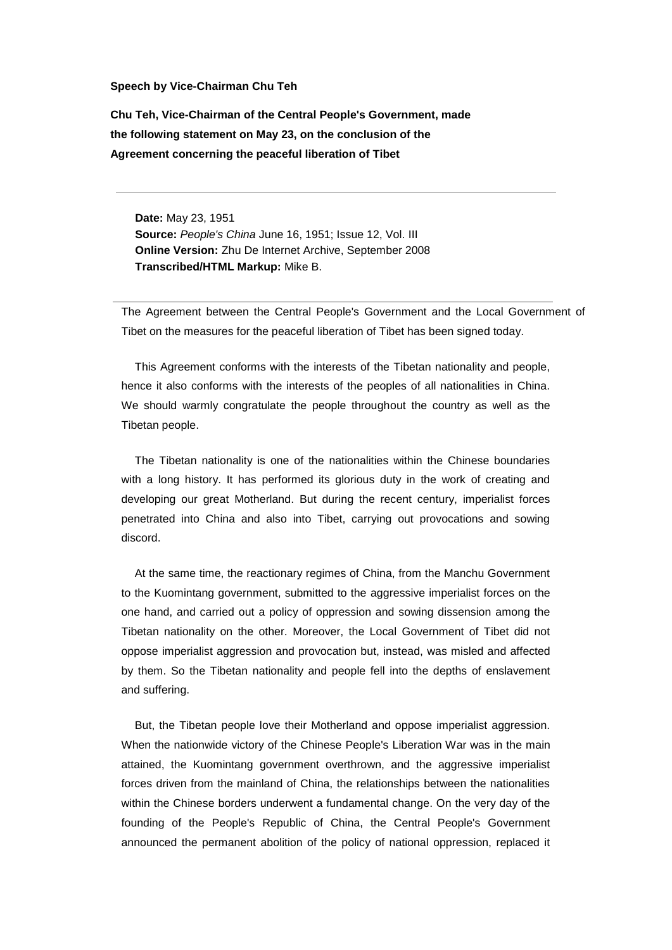## **Speech by Vice-Chairman Chu Teh**

**Chu Teh, Vice-Chairman of the Central People's Government, made the following statement on May 23, on the conclusion of the Agreement concerning the peaceful liberation of Tibet**

**Date:** May 23, 1951 **Source:** *People's China* June 16, 1951; Issue 12, Vol. III **Online Version:** Zhu De Internet Archive, September 2008 **Transcribed/HTML Markup:** Mike B.

The Agreement between the Central People's Government and the Local Government of Tibet on the measures for the peaceful liberation of Tibet has been signed today.

This Agreement conforms with the interests of the Tibetan nationality and people, hence it also conforms with the interests of the peoples of all nationalities in China. We should warmly congratulate the people throughout the country as well as the Tibetan people.

The Tibetan nationality is one of the nationalities within the Chinese boundaries with a long history. It has performed its glorious duty in the work of creating and developing our great Motherland. But during the recent century, imperialist forces penetrated into China and also into Tibet, carrying out provocations and sowing discord.

At the same time, the reactionary regimes of China, from the Manchu Government to the Kuomintang government, submitted to the aggressive imperialist forces on the one hand, and carried out a policy of oppression and sowing dissension among the Tibetan nationality on the other. Moreover, the Local Government of Tibet did not oppose imperialist aggression and provocation but, instead, was misled and affected by them. So the Tibetan nationality and people fell into the depths of enslavement and suffering.

But, the Tibetan people love their Motherland and oppose imperialist aggression. When the nationwide victory of the Chinese People's Liberation War was in the main attained, the Kuomintang government overthrown, and the aggressive imperialist forces driven from the mainland of China, the relationships between the nationalities within the Chinese borders underwent a fundamental change. On the very day of the founding of the People's Republic of China, the Central People's Government announced the permanent abolition of the policy of national oppression, replaced it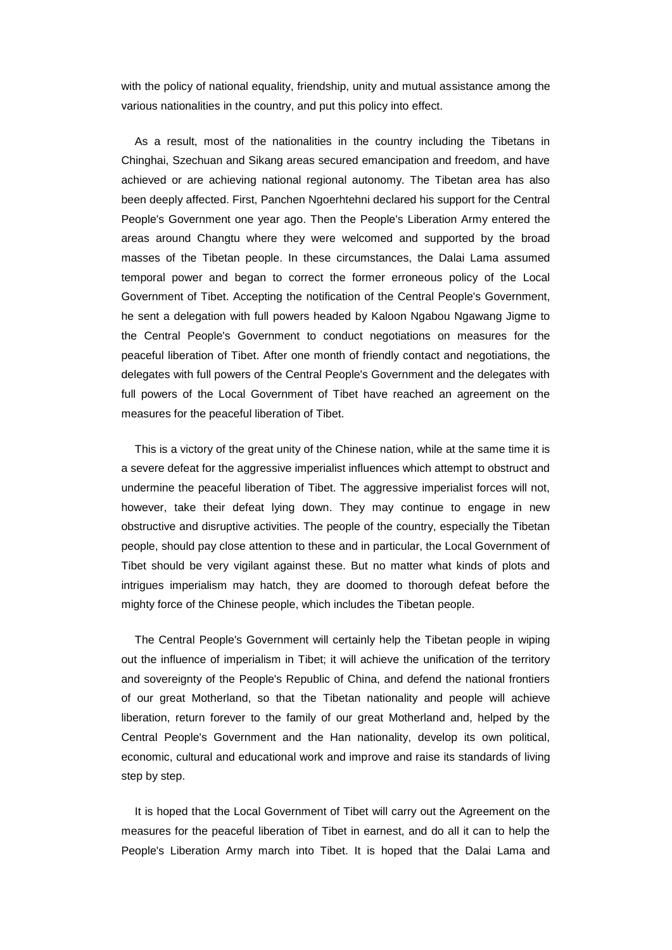with the policy of national equality, friendship, unity and mutual assistance among the various nationalities in the country, and put this policy into effect.

As a result, most of the nationalities in the country including the Tibetans in Chinghai, Szechuan and Sikang areas secured emancipation and freedom, and have achieved or are achieving national regional autonomy. The Tibetan area has also been deeply affected. First, Panchen Ngoerhtehni declared his support for the Central People's Government one year ago. Then the People's Liberation Army entered the areas around Changtu where they were welcomed and supported by the broad masses of the Tibetan people. In these circumstances, the Dalai Lama assumed temporal power and began to correct the former erroneous policy of the Local Government of Tibet. Accepting the notification of the Central People's Government, he sent a delegation with full powers headed by Kaloon Ngabou Ngawang Jigme to the Central People's Government to conduct negotiations on measures for the peaceful liberation of Tibet. After one month of friendly contact and negotiations, the delegates with full powers of the Central People's Government and the delegates with full powers of the Local Government of Tibet have reached an agreement on the measures for the peaceful liberation of Tibet.

This is a victory of the great unity of the Chinese nation, while at the same time it is a severe defeat for the aggressive imperialist influences which attempt to obstruct and undermine the peaceful liberation of Tibet. The aggressive imperialist forces will not, however, take their defeat lying down. They may continue to engage in new obstructive and disruptive activities. The people of the country, especially the Tibetan people, should pay close attention to these and in particular, the Local Government of Tibet should be very vigilant against these. But no matter what kinds of plots and intrigues imperialism may hatch, they are doomed to thorough defeat before the mighty force of the Chinese people, which includes the Tibetan people.

The Central People's Government will certainly help the Tibetan people in wiping out the influence of imperialism in Tibet; it will achieve the unification of the territory and sovereignty of the People's Republic of China, and defend the national frontiers of our great Motherland, so that the Tibetan nationality and people will achieve liberation, return forever to the family of our great Motherland and, helped by the Central People's Government and the Han nationality, develop its own political, economic, cultural and educational work and improve and raise its standards of living step by step.

It is hoped that the Local Government of Tibet will carry out the Agreement on the measures for the peaceful liberation of Tibet in earnest, and do all it can to help the People's Liberation Army march into Tibet. It is hoped that the Dalai Lama and